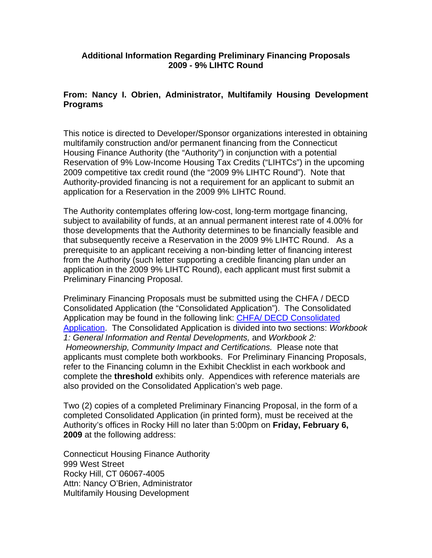## **Additional Information Regarding Preliminary Financing Proposals 2009 - 9% LIHTC Round**

## **From: Nancy I. Obrien, Administrator, Multifamily Housing Development Programs**

This notice is directed to Developer/Sponsor organizations interested in obtaining multifamily construction and/or permanent financing from the Connecticut Housing Finance Authority (the "Authority") in conjunction with a potential Reservation of 9% Low-Income Housing Tax Credits ("LIHTCs") in the upcoming 2009 competitive tax credit round (the "2009 9% LIHTC Round"). Note that Authority-provided financing is not a requirement for an applicant to submit an application for a Reservation in the 2009 9% LIHTC Round.

The Authority contemplates offering low-cost, long-term mortgage financing, subject to availability of funds, at an annual permanent interest rate of 4.00% for those developments that the Authority determines to be financially feasible and that subsequently receive a Reservation in the 2009 9% LIHTC Round. As a prerequisite to an applicant receiving a non-binding letter of financing interest from the Authority (such letter supporting a credible financing plan under an application in the 2009 9% LIHTC Round), each applicant must first submit a Preliminary Financing Proposal.

Preliminary Financing Proposals must be submitted using the CHFA / DECD Consolidated Application (the "Consolidated Application"). The Consolidated Application may be found in the following link: [CHFA/ DECD Consolidated](http://www.chfa.org/Multifamily/MFApplications.asp)  [Application.](http://www.chfa.org/Multifamily/MFApplications.asp) The Consolidated Application is divided into two sections: *Workbook 1: General Information and Rental Developments,* and *[Workbook 2:](http://www.chfa.org/Multifamily/ConsolidatedApplicationCertiAndHomeownership10-3-08.xls) Homeownership, Community Impact and Certifications.* Please note that applicants must complete both workbooks. For Preliminary Financing Proposals, refer to the Financing column in the Exhibit Checklist in each workbook and complete the **threshold** exhibits only. Appendices with reference materials are also provided on the Consolidated Application's web page.

Two (2) copies of a completed Preliminary Financing Proposal, in the form of a completed Consolidated Application (in printed form), must be received at the Authority's offices in Rocky Hill no later than 5:00pm on **Friday, February 6, 2009** at the following address:

Connecticut Housing Finance Authority 999 West Street Rocky Hill, CT 06067-4005 Attn: Nancy O'Brien, Administrator Multifamily Housing Development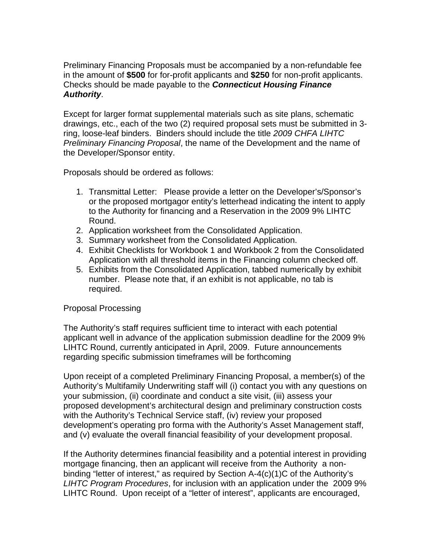Preliminary Financing Proposals must be accompanied by a non-refundable fee in the amount of **\$500** for for-profit applicants and **\$250** for non-profit applicants. Checks should be made payable to the *Connecticut Housing Finance Authority*.

Except for larger format supplemental materials such as site plans, schematic drawings, etc., each of the two (2) required proposal sets must be submitted in 3 ring, loose-leaf binders. Binders should include the title *2009 CHFA LIHTC Preliminary Financing Proposal*, the name of the Development and the name of the Developer/Sponsor entity.

Proposals should be ordered as follows:

- 1. Transmittal Letter: Please provide a letter on the Developer's/Sponsor's or the proposed mortgagor entity's letterhead indicating the intent to apply to the Authority for financing and a Reservation in the 2009 9% LIHTC Round.
- 2. Application worksheet from the Consolidated Application.
- 3. Summary worksheet from the Consolidated Application.
- 4. Exhibit Checklists for Workbook 1 and Workbook 2 from the Consolidated Application with all threshold items in the Financing column checked off.
- 5. Exhibits from the Consolidated Application, tabbed numerically by exhibit number. Please note that, if an exhibit is not applicable, no tab is required.

## Proposal Processing

The Authority's staff requires sufficient time to interact with each potential applicant well in advance of the application submission deadline for the 2009 9% LIHTC Round, currently anticipated in April, 2009. Future announcements regarding specific submission timeframes will be forthcoming

Upon receipt of a completed Preliminary Financing Proposal, a member(s) of the Authority's Multifamily Underwriting staff will (i) contact you with any questions on your submission, (ii) coordinate and conduct a site visit, (iii) assess your proposed development's architectural design and preliminary construction costs with the Authority's Technical Service staff, (iv) review your proposed development's operating pro forma with the Authority's Asset Management staff, and (v) evaluate the overall financial feasibility of your development proposal.

If the Authority determines financial feasibility and a potential interest in providing mortgage financing, then an applicant will receive from the Authority a nonbinding "letter of interest," as required by Section A-4(c)(1)C of the Authority's *LIHTC Program Procedures*, for inclusion with an application under the 2009 9% LIHTC Round. Upon receipt of a "letter of interest", applicants are encouraged,